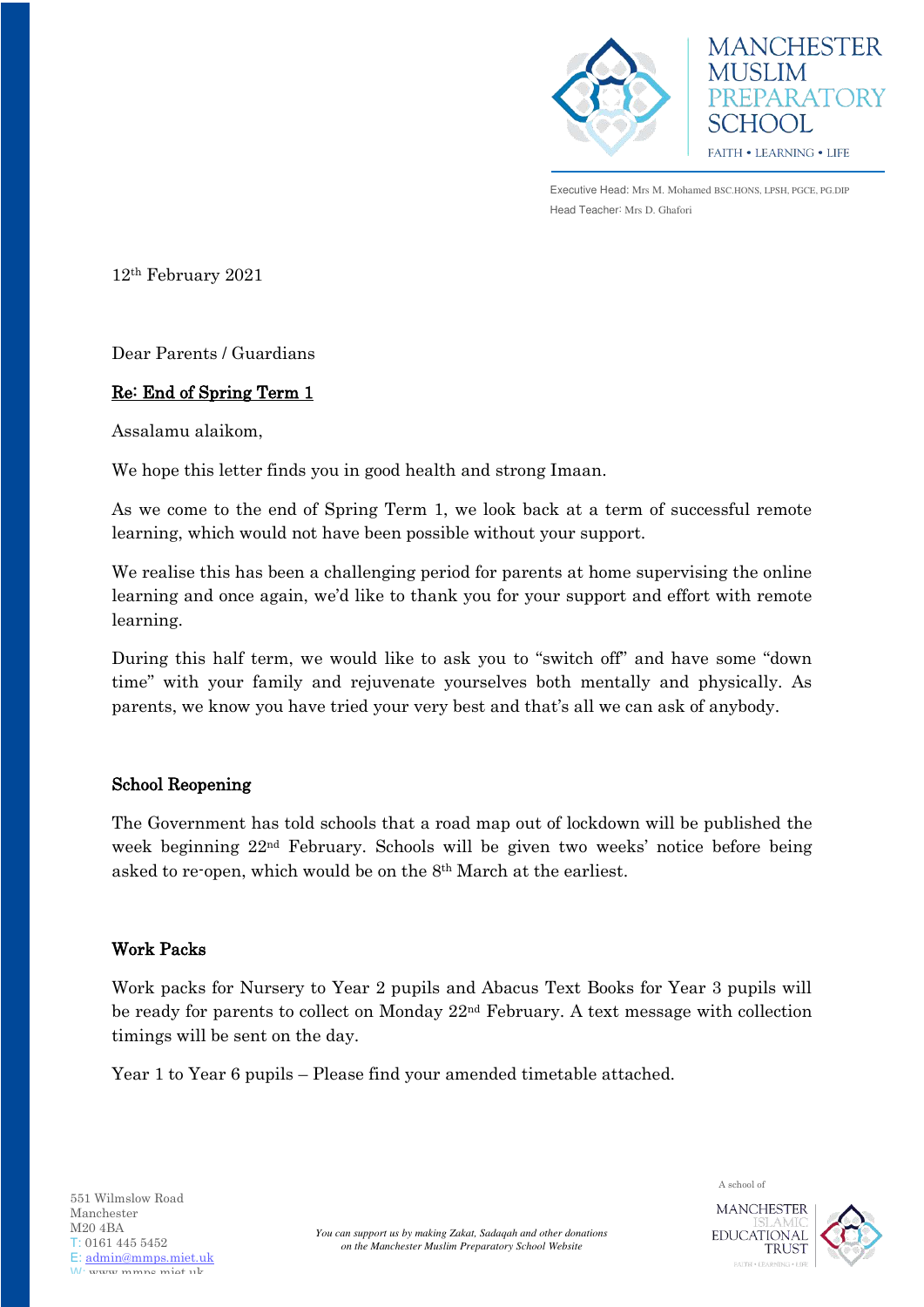



Executive Head: Mrs M. Mohamed BSC.HONS, LPSH, PGCE, PG.DIP Head Teacher: Mrs D. Ghafori

12th February 2021

Dear Parents / Guardians

## Re: End of Spring Term 1

Assalamu alaikom,

We hope this letter finds you in good health and strong Imaan.

As we come to the end of Spring Term 1, we look back at a term of successful remote learning, which would not have been possible without your support.

We realise this has been a challenging period for parents at home supervising the online learning and once again, we'd like to thank you for your support and effort with remote learning.

During this half term, we would like to ask you to "switch off" and have some "down time" with your family and rejuvenate yourselves both mentally and physically. As parents, we know you have tried your very best and that's all we can ask of anybody.

## School Reopening

The Government has told schools that a road map out of lockdown will be published the week beginning 22nd February. Schools will be given two weeks' notice before being asked to re-open, which would be on the 8th March at the earliest.

## Work Packs

Work packs for Nursery to Year 2 pupils and Abacus Text Books for Year 3 pupils will be ready for parents to collect on Monday 22<sup>nd</sup> February. A text message with collection timings will be sent on the day.

Year 1 to Year 6 pupils – Please find your amended timetable attached.